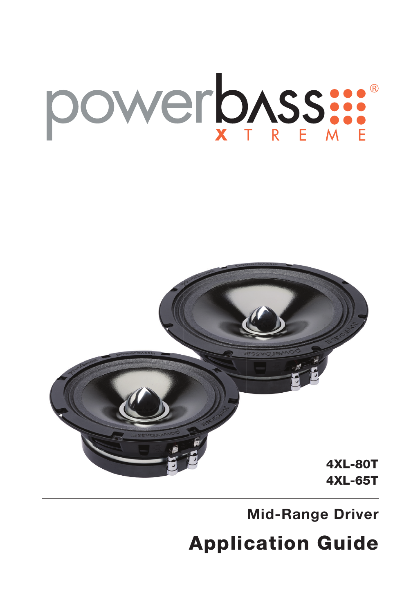## OWERDASS ...



**Mid-Range Driver**

Application Guide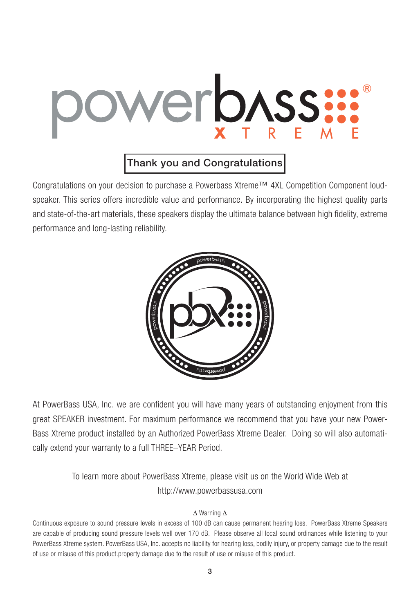# Verbass:

### Thank you and Congratulations

Congratulations on your decision to purchase a Powerbass Xtreme™ 4XL Competition Component loudspeaker. This series offers incredible value and performance. By incorporating the highest quality parts and state-of-the-art materials, these speakers display the ultimate balance between high fidelity, extreme performance and long-lasting reliability.



At PowerBass USA, Inc. we are confident you will have many years of outstanding enjoyment from this great SPEAKER investment. For maximum performance we recommend that you have your new Power-Bass Xtreme product installed by an Authorized PowerBass Xtreme Dealer. Doing so will also automatically extend your warranty to a full THREE–YEAR Period.

> To learn more about PowerBass Xtreme, please visit us on the World Wide Web at http://www.powerbassusa.com

#### ∆ Warning ∆

Continuous exposure to sound pressure levels in excess of 100 dB can cause permanent hearing loss. PowerBass Xtreme Speakers are capable of producing sound pressure levels well over 170 dB. Please observe all local sound ordinances while listening to your PowerBass Xtreme system. PowerBass USA, Inc. accepts no liability for hearing loss, bodily injury, or property damage due to the result of use or misuse of this product.property damage due to the result of use or misuse of this product.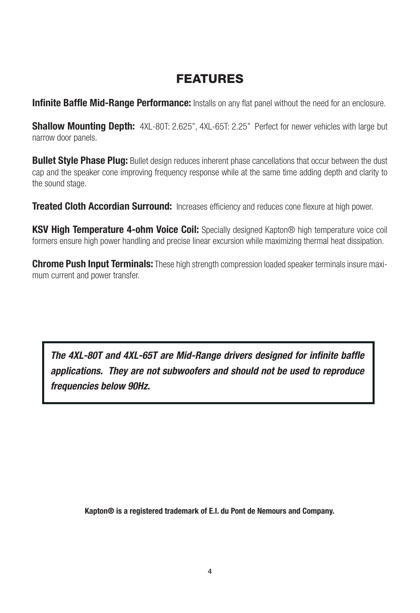## FEATURES

**Infinite Baffle Mid-Range Performance:** Installs on any flat panel without the need for an enclosure.

**Shallow Mounting Depth:** 4XL-80T: 2.625", 4XL-65T: 2.25" Perfect for newer vehicles with large but narrow door panels.

**Bullet Style Phase Plug:** Bullet design reduces inherent phase cancellations that occur between the dust cap and the speaker cone improving frequency response while at the same time adding depth and clarity to the sound stage.

**Treated Cloth Accordian Surround:** Increases efficiency and reduces cone flexure at high power.

**KSV High Temperature 4-ohm Voice Coil:** Specially designed Kapton® high temperature voice coil formers ensure high power handling and precise linear excursion while maximizing thermal heat dissipation.

**Chrome Push Input Terminals:** These high strength compression loaded speaker terminals insure maximum current and power transfer.

*The 4XL-80T and 4XL-65T are Mid-Range drivers designed for infinite baffle applications. They are not subwoofers and should not be used to reproduce frequencies below 90Hz.*

**Kapton® is a registered trademark of E.I. du Pont de Nemours and Company.**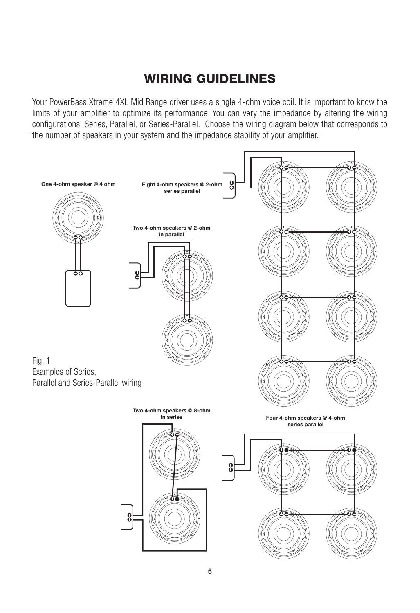## WIRING GUIDELINES

Your PowerBass Xtreme 4XL Mid Range driver uses a single 4-ohm voice coil. It is important to know the limits of your amplifier to optimize its performance. You can very the impedance by altering the wiring configurations: Series, Parallel, or Series-Parallel. Choose the wiring diagram below that corresponds to the number of speakers in your system and the impedance stability of your amplifier.

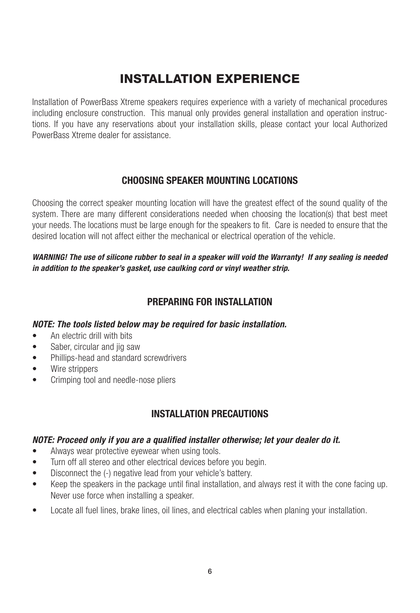## INSTALLATION EXPERIENCE

Installation of PowerBass Xtreme speakers requires experience with a variety of mechanical procedures including enclosure construction. This manual only provides general installation and operation instructions. If you have any reservations about your installation skills, please contact your local Authorized PowerBass Xtreme dealer for assistance.

#### **CHOOSING SPEAKER MOUNTING LOCATIONS**

Choosing the correct speaker mounting location will have the greatest effect of the sound quality of the system. There are many different considerations needed when choosing the location(s) that best meet your needs. The locations must be large enough for the speakers to fit. Care is needed to ensure that the desired location will not affect either the mechanical or electrical operation of the vehicle.

*WARNING! The use of silicone rubber to seal in a speaker will void the Warranty! If any sealing is needed in addition to the speaker's gasket, use caulking cord or vinyl weather strip.*

#### **PREPARING FOR INSTALLATION**

#### *NOTE: The tools listed below may be required for basic installation.*

- An electric drill with bits
- Saber, circular and jig saw
- Phillips-head and standard screwdrivers
- Wire strippers
- Crimping tool and needle-nose pliers

#### **INSTALLATION PRECAUTIONS**

#### *NOTE: Proceed only if you are a qualified installer otherwise; let your dealer do it.*

- Always wear protective eyewear when using tools.
- Turn off all stereo and other electrical devices before you begin.
- Disconnect the (-) negative lead from your vehicle's battery.
- Keep the speakers in the package until final installation, and always rest it with the cone facing up. Never use force when installing a speaker.
- Locate all fuel lines, brake lines, oil lines, and electrical cables when planing your installation.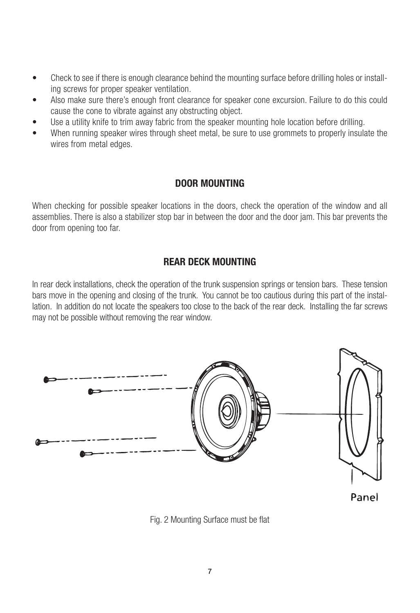- Check to see if there is enough clearance behind the mounting surface before drilling holes or installing screws for proper speaker ventilation.
- Also make sure there's enough front clearance for speaker cone excursion. Failure to do this could cause the cone to vibrate against any obstructing object.
- Use a utility knife to trim away fabric from the speaker mounting hole location before drilling.
- When running speaker wires through sheet metal, be sure to use grommets to properly insulate the wires from metal edges.

#### **DOOR MOUNTING**

When checking for possible speaker locations in the doors, check the operation of the window and all assemblies. There is also a stabilizer stop bar in between the door and the door jam. This bar prevents the door from opening too far.

#### **REAR DECK MOUNTING**

In rear deck installations, check the operation of the trunk suspension springs or tension bars. These tension bars move in the opening and closing of the trunk. You cannot be too cautious during this part of the installation. In addition do not locate the speakers too close to the back of the rear deck. Installing the far screws may not be possible without removing the rear window.



Fig. 2 Mounting Surface must be flat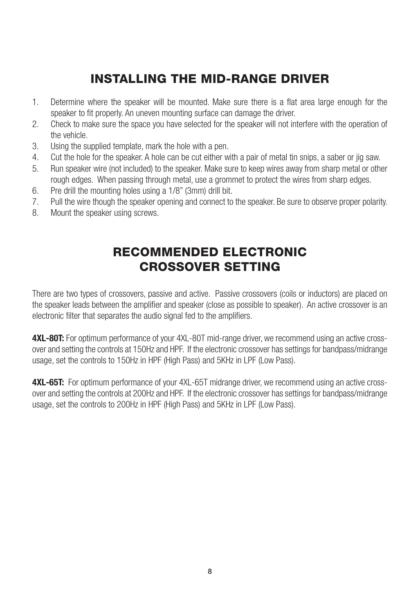## INSTALLING THE MID-RANGE DRIVER

- 1. Determine where the speaker will be mounted. Make sure there is a flat area large enough for the speaker to fit properly. An uneven mounting surface can damage the driver.
- 2. Check to make sure the space you have selected for the speaker will not interfere with the operation of the vehicle.
- 3. Using the supplied template, mark the hole with a pen.
- 4. Cut the hole for the speaker. A hole can be cut either with a pair of metal tin snips, a saber or jig saw.
- 5. Run speaker wire (not included) to the speaker. Make sure to keep wires away from sharp metal or other rough edges. When passing through metal, use a grommet to protect the wires from sharp edges.
- 6. Pre drill the mounting holes using a 1/8" (3mm) drill bit.
- 7. Pull the wire though the speaker opening and connect to the speaker. Be sure to observe proper polarity.
- 8. Mount the speaker using screws.

## RECOMMENDED ELECTRONIC CROSSOVER SETTING

There are two types of crossovers, passive and active. Passive crossovers (coils or inductors) are placed on the speaker leads between the amplifier and speaker (close as possible to speaker). An active crossover is an electronic filter that separates the audio signal fed to the amplifiers.

**4XL-80T:** For optimum performance of your 4XL-80T mid-range driver, we recommend using an active crossover and setting the controls at 150Hz and HPF. If the electronic crossover has settings for bandpass/midrange usage, set the controls to 150Hz in HPF (High Pass) and 5KHz in LPF (Low Pass).

**4XL-65T:** For optimum performance of your 4XL-65T midrange driver, we recommend using an active crossover and setting the controls at 200Hz and HPF. If the electronic crossover has settings for bandpass/midrange usage, set the controls to 200Hz in HPF (High Pass) and 5KHz in LPF (Low Pass).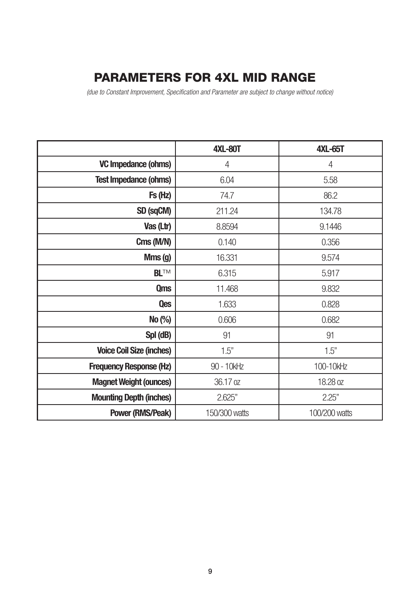## PARAMETERS FOR 4XL MID RANGE

*(due to Constant Improvement, Specification and Parameter are subject to change without notice)*

|                                 | <b>4XL-80T</b> | <b>4XL-65T</b> |
|---------------------------------|----------------|----------------|
| VC Impedance (ohms)             | 4              | 4              |
| <b>Test Impedance (ohms)</b>    | 6.04           | 5.58           |
| Fs (Hz)                         | 74.7           | 86.2           |
| SD (sqCM)                       | 211.24         | 134.78         |
| Vas (Ltr)                       | 8.8594         | 9.1446         |
| Cms (M/N)                       | 0.140          | 0.356          |
| Mms (g)                         | 16.331         | 9.574          |
| <b>BLTM</b>                     | 6.315          | 5.917          |
| <b>Qms</b>                      | 11.468         | 9.832          |
| <b>Qes</b>                      | 1.633          | 0.828          |
| No (%)                          | 0.606          | 0.682          |
| Spl (dB)                        | 91             | 91             |
| <b>Voice Coil Size (inches)</b> | 1.5"           | 1.5"           |
| <b>Frequency Response (Hz)</b>  | 90 - 10kHz     | 100-10kHz      |
| <b>Magnet Weight (ounces)</b>   | 36.17 oz       | 18.28 oz       |
| <b>Mounting Depth (inches)</b>  | 2.625"         | 2.25"          |
| Power (RMS/Peak)                | 150/300 watts  | 100/200 watts  |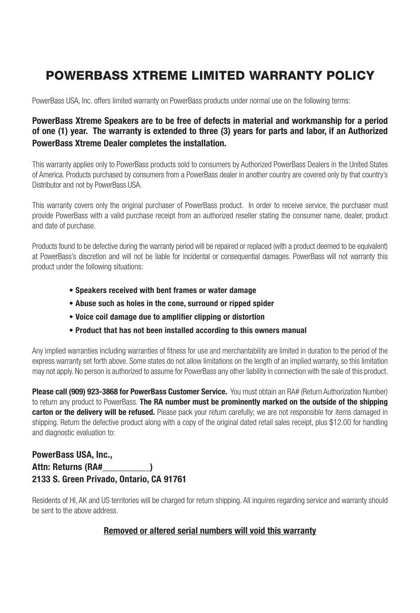## POWERBASS XTREME LIMITED WARRANTY POLICY

PowerBass USA, Inc. offers limited warranty on PowerBass products under normal use on the following terms:

#### **PowerBass Xtreme Speakers are to be free of defects in material and workmanship for a period of one (1) year. The warranty is extended to three (3) years for parts and labor, if an Authorized PowerBass Xtreme Dealer completes the installation.**

This warranty applies only to PowerBass products sold to consumers by Authorized PowerBass Dealers in the United States of America. Products purchased by consumers from a PowerBass dealer in another country are covered only by that country's Distributor and not by PowerBass USA.

This warranty covers only the original purchaser of PowerBass product. In order to receive service, the purchaser must provide PowerBass with a valid purchase receipt from an authorized reseller stating the consumer name, dealer, product and date of purchase.

Products found to be defective during the warranty period will be repaired or replaced (with a product deemed to be equivalent) at PowerBass's discretion and will not be liable for incidental or consequential damages. PowerBass will not warranty this product under the following situations:

- **Speakers received with bent frames or water damage**
- **Abuse such as holes in the cone, surround or ripped spider**
- **Voice coil damage due to amplifier clipping or distortion**
- **Product that has not been installed according to this owners manual**

Any implied warranties including warranties of fitness for use and merchantability are limited in duration to the period of the express warranty set forth above. Some states do not allow limitations on the length of an implied warranty, so this limitation may not apply. No person is authorized to assume for PowerBass any other liability in connection with the sale of this product.

**Please call (909) 923-3868 for PowerBass Customer Service.** You must obtain an RA# (Return Authorization Number) to return any product to PowerBass. **The RA number must be prominently marked on the outside of the shipping carton or the delivery will be refused.** Please pack your return carefully; we are not responsible for items damaged in shipping. Return the defective product along with a copy of the original dated retail sales receipt, plus \$12.00 for handling and diagnostic evaluation to:

#### **PowerBass USA, Inc., Attn: Returns (RA#\_\_\_\_\_\_\_\_\_\_) 2133 S. Green Privado, Ontario, CA 91761**

Residents of HI, AK and US territories will be charged for return shipping. All inquires regarding service and warranty should be sent to the above address.

#### **Removed or altered serial numbers will void this warranty**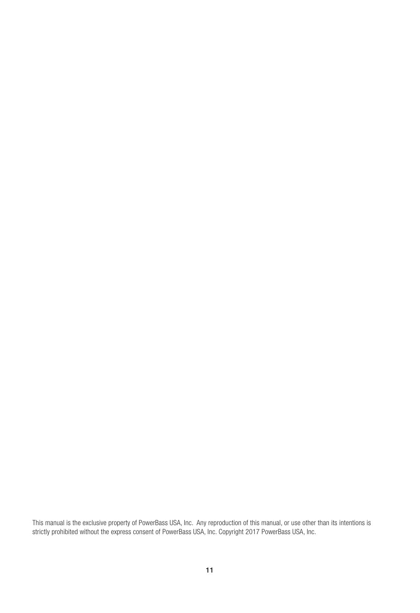This manual is the exclusive property of PowerBass USA, Inc. Any reproduction of this manual, or use other than its intentions is strictly prohibited without the express consent of PowerBass USA, Inc. Copyright 2017 PowerBass USA, Inc.